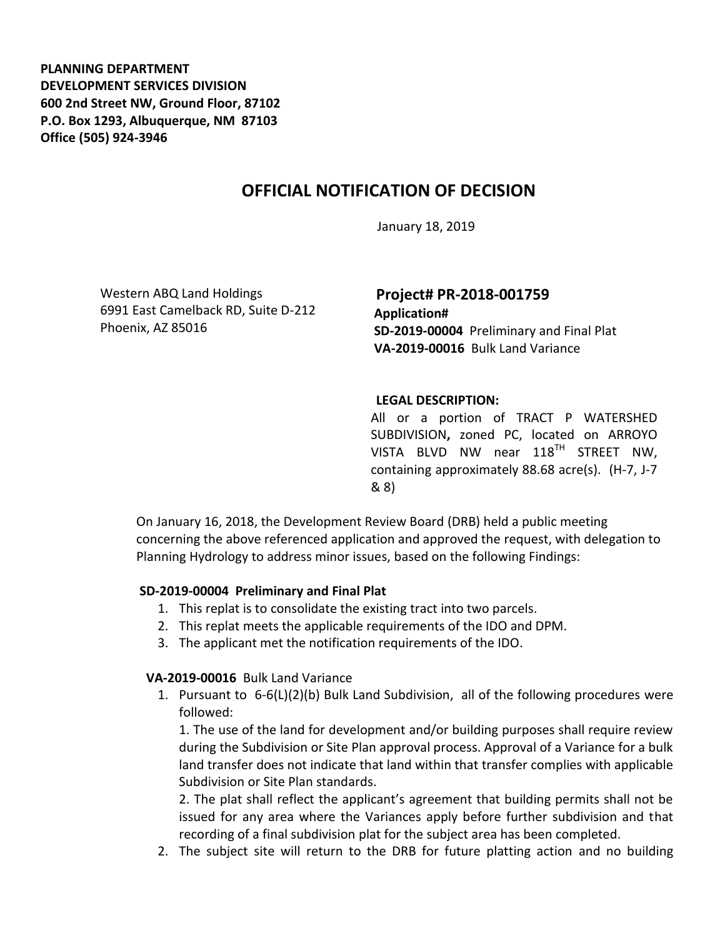**PLANNING DEPARTMENT DEVELOPMENT SERVICES DIVISION 600 2nd Street NW, Ground Floor, 87102 P.O. Box 1293, Albuquerque, NM 87103 Office (505) 924-3946** 

## **OFFICIAL NOTIFICATION OF DECISION**

January 18, 2019

Western ABQ Land Holdings 6991 East Camelback RD, Suite D-212 Phoenix, AZ 85016

**Project# PR-2018-001759 Application# SD-2019-00004** Preliminary and Final Plat **VA-2019-00016** Bulk Land Variance

## **LEGAL DESCRIPTION:**

All or a portion of TRACT P WATERSHED SUBDIVISION**,** zoned PC, located on ARROYO VISTA BLVD NW near 118<sup>TH</sup> STREET NW. containing approximately 88.68 acre(s). (H-7, J-7 & 8)

On January 16, 2018, the Development Review Board (DRB) held a public meeting concerning the above referenced application and approved the request, with delegation to Planning Hydrology to address minor issues, based on the following Findings:

## **SD-2019-00004 Preliminary and Final Plat**

- 1. This replat is to consolidate the existing tract into two parcels.
- 2. This replat meets the applicable requirements of the IDO and DPM.
- 3. The applicant met the notification requirements of the IDO.

## **VA-2019-00016** Bulk Land Variance

1. Pursuant to 6-6(L)(2)(b) Bulk Land Subdivision, all of the following procedures were followed:

1. The use of the land for development and/or building purposes shall require review during the Subdivision or Site Plan approval process. Approval of a Variance for a bulk land transfer does not indicate that land within that transfer complies with applicable Subdivision or Site Plan standards.

2. The plat shall reflect the applicant's agreement that building permits shall not be issued for any area where the Variances apply before further subdivision and that recording of a final subdivision plat for the subject area has been completed.

2. The subject site will return to the DRB for future platting action and no building